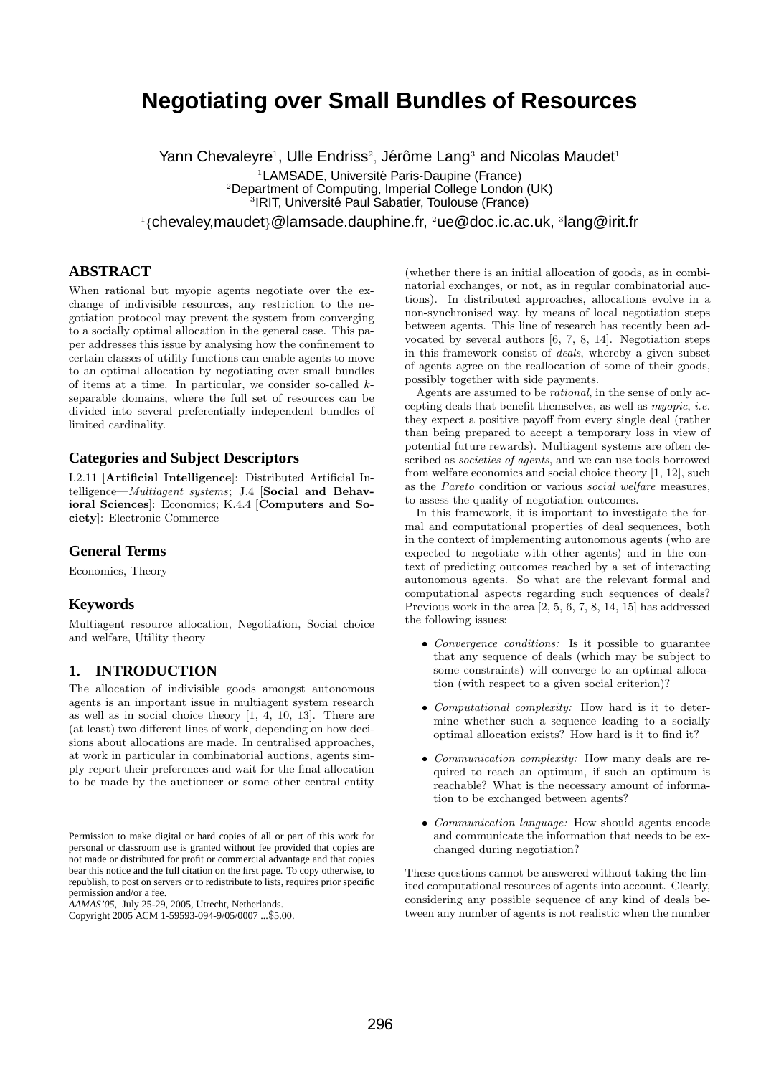# **Negotiating over Small Bundles of Resources**

Yann Chevaleyre<sup>1</sup>, Ulle Endriss<sup>2</sup>, Jérôme Lang<sup>3</sup> and Nicolas Maudet<sup>1</sup> <sup>1</sup>LAMSADE, Université Paris-Daupine (France) <sup>2</sup>Department of Computing, Imperial College London (UK) <sup>3</sup>IRIT, Université Paul Sabatier, Toulouse (France) <sup>1</sup>{chevaley,maudet}@lamsade.dauphine.fr, <sup>2</sup>ue@doc.ic.ac.uk, <sup>3</sup>lang@irit.fr

# **ABSTRACT**

When rational but myopic agents negotiate over the exchange of indivisible resources, any restriction to the negotiation protocol may prevent the system from converging to a socially optimal allocation in the general case. This paper addresses this issue by analysing how the confinement to certain classes of utility functions can enable agents to move to an optimal allocation by negotiating over small bundles of items at a time. In particular, we consider so-called kseparable domains, where the full set of resources can be divided into several preferentially independent bundles of limited cardinality.

#### **Categories and Subject Descriptors**

I.2.11 [Artificial Intelligence]: Distributed Artificial Intelligence—Multiagent systems; J.4 [Social and Behavioral Sciences]: Economics; K.4.4 [Computers and Society]: Electronic Commerce

# **General Terms**

Economics, Theory

# **Keywords**

Multiagent resource allocation, Negotiation, Social choice and welfare, Utility theory

# **1. INTRODUCTION**

The allocation of indivisible goods amongst autonomous agents is an important issue in multiagent system research as well as in social choice theory [1, 4, 10, 13]. There are (at least) two different lines of work, depending on how decisions about allocations are made. In centralised approaches, at work in particular in combinatorial auctions, agents simply report their preferences and wait for the final allocation to be made by the auctioneer or some other central entity

Permission to make digital or hard copies of all or part of this work for personal or classroom use is granted without fee provided that copies are not made or distributed for profit or commercial advantage and that copies bear this notice and the full citation on the first page. To copy otherwise, to republish, to post on servers or to redistribute to lists, requires prior specific permission and/or a fee.

*AAMAS'05,* July 25-29, 2005, Utrecht, Netherlands.

Copyright 2005 ACM 1-59593-094-9/05/0007 ...\$5.00.

(whether there is an initial allocation of goods, as in combinatorial exchanges, or not, as in regular combinatorial auctions). In distributed approaches, allocations evolve in a non-synchronised way, by means of local negotiation steps between agents. This line of research has recently been advocated by several authors [6, 7, 8, 14]. Negotiation steps in this framework consist of deals, whereby a given subset of agents agree on the reallocation of some of their goods, possibly together with side payments.

Agents are assumed to be rational, in the sense of only accepting deals that benefit themselves, as well as myopic, i.e. they expect a positive payoff from every single deal (rather than being prepared to accept a temporary loss in view of potential future rewards). Multiagent systems are often described as *societies of agents*, and we can use tools borrowed from welfare economics and social choice theory [1, 12], such as the Pareto condition or various social welfare measures, to assess the quality of negotiation outcomes.

In this framework, it is important to investigate the formal and computational properties of deal sequences, both in the context of implementing autonomous agents (who are expected to negotiate with other agents) and in the context of predicting outcomes reached by a set of interacting autonomous agents. So what are the relevant formal and computational aspects regarding such sequences of deals? Previous work in the area [2, 5, 6, 7, 8, 14, 15] has addressed the following issues:

- Convergence conditions: Is it possible to guarantee that any sequence of deals (which may be subject to some constraints) will converge to an optimal allocation (with respect to a given social criterion)?
- Computational complexity: How hard is it to determine whether such a sequence leading to a socially optimal allocation exists? How hard is it to find it?
- Communication complexity: How many deals are required to reach an optimum, if such an optimum is reachable? What is the necessary amount of information to be exchanged between agents?
- Communication language: How should agents encode and communicate the information that needs to be exchanged during negotiation?

These questions cannot be answered without taking the limited computational resources of agents into account. Clearly, considering any possible sequence of any kind of deals between any number of agents is not realistic when the number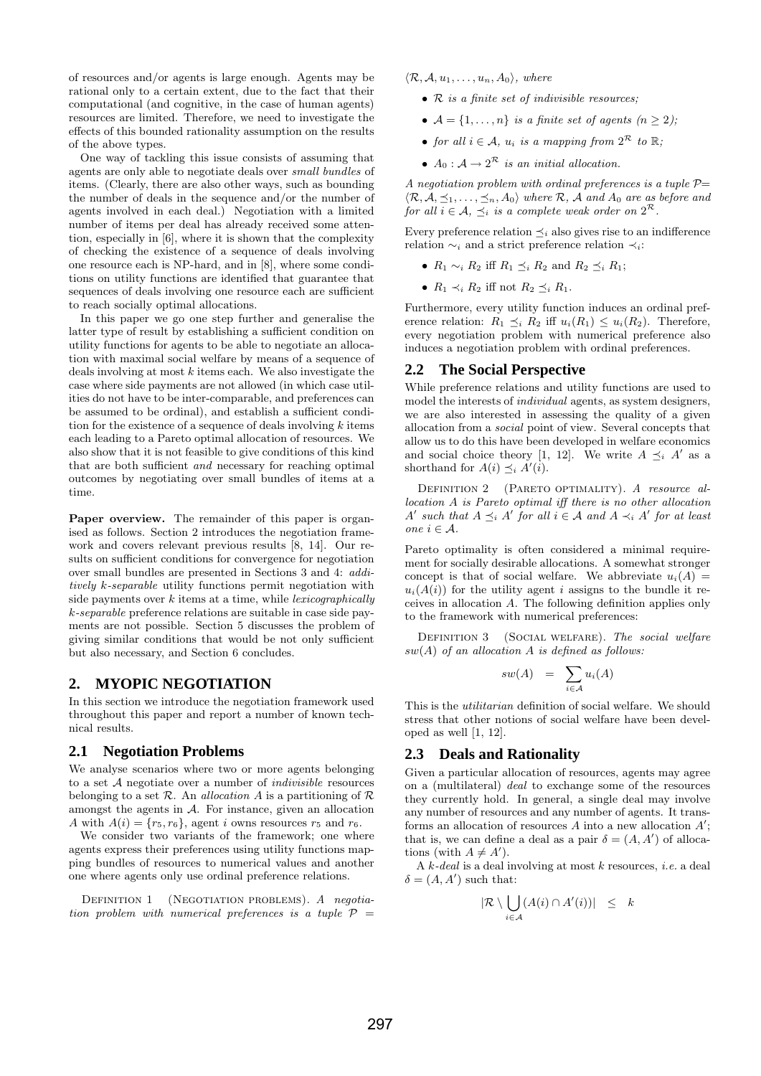of resources and/or agents is large enough. Agents may be rational only to a certain extent, due to the fact that their computational (and cognitive, in the case of human agents) resources are limited. Therefore, we need to investigate the effects of this bounded rationality assumption on the results of the above types.

One way of tackling this issue consists of assuming that agents are only able to negotiate deals over small bundles of items. (Clearly, there are also other ways, such as bounding the number of deals in the sequence and/or the number of agents involved in each deal.) Negotiation with a limited number of items per deal has already received some attention, especially in [6], where it is shown that the complexity of checking the existence of a sequence of deals involving one resource each is NP-hard, and in [8], where some conditions on utility functions are identified that guarantee that sequences of deals involving one resource each are sufficient to reach socially optimal allocations.

In this paper we go one step further and generalise the latter type of result by establishing a sufficient condition on utility functions for agents to be able to negotiate an allocation with maximal social welfare by means of a sequence of deals involving at most  $k$  items each. We also investigate the case where side payments are not allowed (in which case utilities do not have to be inter-comparable, and preferences can be assumed to be ordinal), and establish a sufficient condition for the existence of a sequence of deals involving  $k$  items each leading to a Pareto optimal allocation of resources. We also show that it is not feasible to give conditions of this kind that are both sufficient and necessary for reaching optimal outcomes by negotiating over small bundles of items at a time.

Paper overview. The remainder of this paper is organised as follows. Section 2 introduces the negotiation framework and covers relevant previous results [8, 14]. Our results on sufficient conditions for convergence for negotiation over small bundles are presented in Sections 3 and 4: additively k-separable utility functions permit negotiation with side payments over  $k$  items at a time, while *lexicographically* k-separable preference relations are suitable in case side payments are not possible. Section 5 discusses the problem of giving similar conditions that would be not only sufficient but also necessary, and Section 6 concludes.

# **2. MYOPIC NEGOTIATION**

In this section we introduce the negotiation framework used throughout this paper and report a number of known technical results.

# **2.1 Negotiation Problems**

We analyse scenarios where two or more agents belonging to a set  $A$  negotiate over a number of *indivisible* resources belonging to a set  $\mathcal R$ . An *allocation A* is a partitioning of  $\mathcal R$ amongst the agents in  $A$ . For instance, given an allocation A with  $A(i) = \{r_5, r_6\}$ , agent i owns resources  $r_5$  and  $r_6$ .

We consider two variants of the framework; one where agents express their preferences using utility functions mapping bundles of resources to numerical values and another one where agents only use ordinal preference relations.

DEFINITION 1 (NEGOTIATION PROBLEMS). A negotiation problem with numerical preferences is a tuple  $\mathcal{P} =$   $\langle \mathcal{R}, \mathcal{A}, u_1, \ldots, u_n, A_0 \rangle$ , where

- $R$  is a finite set of indivisible resources;
- $\mathcal{A} = \{1, \ldots, n\}$  is a finite set of agents  $(n \geq 2)$ ;
- for all  $i \in \mathcal{A}$ ,  $u_i$  is a mapping from  $2^{\mathcal{R}}$  to  $\mathbb{R}$ ,
- $A_0: \mathcal{A} \to 2^{\mathcal{R}}$  is an initial allocation.

A negotiation problem with ordinal preferences is a tuple  $P=$  $\langle \mathcal{R}, \mathcal{A}, \preceq_1, \ldots, \preceq_n, A_0 \rangle$  where  $\mathcal{R}, \mathcal{A}$  and  $A_0$  are as before and for all  $i \in \mathcal{A}, \preceq_i$  is a complete weak order on  $2^{\mathcal{R}}$ .

Every preference relation  $\prec_i$  also gives rise to an indifference relation  $\sim_i$  and a strict preference relation  $\prec_i$ :

- $R_1 \sim_i R_2$  iff  $R_1 \prec_i R_2$  and  $R_2 \prec_i R_1$ ;
- $R_1 \prec_i R_2$  iff not  $R_2 \preceq_i R_1$ .

Furthermore, every utility function induces an ordinal preference relation:  $R_1 \preceq_i R_2$  iff  $u_i(R_1) \preceq u_i(R_2)$ . Therefore, every negotiation problem with numerical preference also induces a negotiation problem with ordinal preferences.

# **2.2 The Social Perspective**

While preference relations and utility functions are used to model the interests of individual agents, as system designers, we are also interested in assessing the quality of a given allocation from a social point of view. Several concepts that allow us to do this have been developed in welfare economics and social choice theory [1, 12]. We write  $A \preceq_i A'$  as a shorthand for  $A(i) \preceq_i A'(i)$ .

DEFINITION 2 (PARETO OPTIMALITY). A resource allocation A is Pareto optimal iff there is no other allocation A' such that  $A \preceq_i A'$  for all  $i \in A$  and  $A \prec_i A'$  for at least one  $i \in \mathcal{A}$ .

Pareto optimality is often considered a minimal requirement for socially desirable allocations. A somewhat stronger concept is that of social welfare. We abbreviate  $u_i(A) =$  $u_i(A(i))$  for the utility agent i assigns to the bundle it receives in allocation A. The following definition applies only to the framework with numerical preferences:

DEFINITION 3 (SOCIAL WELFARE). The social welfare  $sw(A)$  of an allocation A is defined as follows:

$$
sw(A) = \sum_{i \in \mathcal{A}} u_i(A)
$$

This is the utilitarian definition of social welfare. We should stress that other notions of social welfare have been developed as well [1, 12].

#### **2.3 Deals and Rationality**

Given a particular allocation of resources, agents may agree on a (multilateral) deal to exchange some of the resources they currently hold. In general, a single deal may involve any number of resources and any number of agents. It transforms an allocation of resources  $A$  into a new allocation  $A'$ ; that is, we can define a deal as a pair  $\delta = (A, A')$  of allocations (with  $A \neq A'$ ).

A  $k$ -deal is a deal involving at most  $k$  resources, *i.e.* a deal  $\delta = (A, A')$  such that:

$$
|\mathcal{R} \setminus \bigcup_{i \in \mathcal{A}} (A(i) \cap A'(i))| \leq k
$$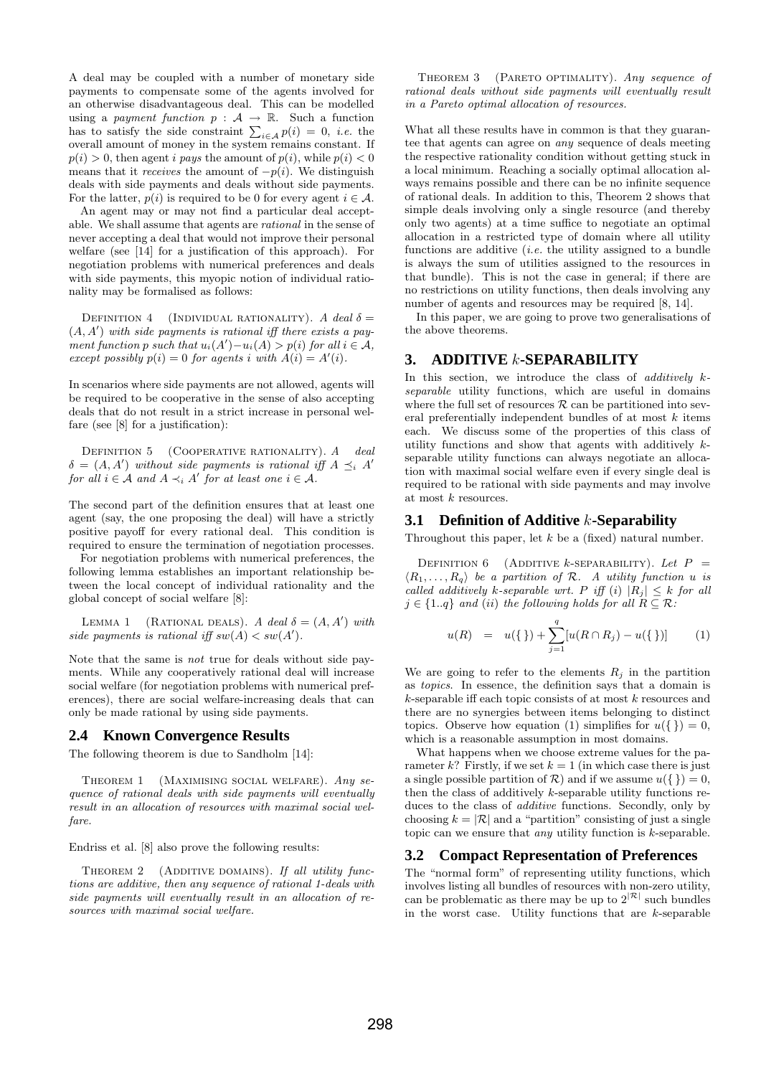A deal may be coupled with a number of monetary side payments to compensate some of the agents involved for an otherwise disadvantageous deal. This can be modelled using a payment function  $p : A \rightarrow \mathbb{R}$ . Such a function has to satisfy the side constraint  $\sum_{i \in \mathcal{A}} p(i) = 0$ , *i.e.* the overall amount of money in the system remains constant. If  $p(i) > 0$ , then agent *i pays* the amount of  $p(i)$ , while  $p(i) < 0$ means that it *receives* the amount of  $-p(i)$ . We distinguish deals with side payments and deals without side payments. For the latter,  $p(i)$  is required to be 0 for every agent  $i \in \mathcal{A}$ .

An agent may or may not find a particular deal acceptable. We shall assume that agents are rational in the sense of never accepting a deal that would not improve their personal welfare (see [14] for a justification of this approach). For negotiation problems with numerical preferences and deals with side payments, this myopic notion of individual rationality may be formalised as follows:

DEFINITION 4 (INDIVIDUAL RATIONALITY). A deal  $\delta =$  $(A, A')$  with side payments is rational iff there exists a payment function p such that  $u_i(A') - u_i(A) > p(i)$  for all  $i \in \mathcal{A}$ , except possibly  $p(i) = 0$  for agents i with  $A(i) = A'(i)$ .

In scenarios where side payments are not allowed, agents will be required to be cooperative in the sense of also accepting deals that do not result in a strict increase in personal welfare (see [8] for a justification):

DEFINITION 5 (COOPERATIVE RATIONALITY). A deal  $\delta = (A, A')$  without side payments is rational iff  $A \preceq_i A'$ for all  $i \in \mathcal{A}$  and  $A \prec_i A'$  for at least one  $i \in \mathcal{A}$ .

The second part of the definition ensures that at least one agent (say, the one proposing the deal) will have a strictly positive payoff for every rational deal. This condition is required to ensure the termination of negotiation processes.

For negotiation problems with numerical preferences, the following lemma establishes an important relationship between the local concept of individual rationality and the global concept of social welfare [8]:

LEMMA 1 (RATIONAL DEALS). A deal  $\delta = (A, A')$  with side payments is rational iff  $sw(A) < sw(A')$ .

Note that the same is not true for deals without side payments. While any cooperatively rational deal will increase social welfare (for negotiation problems with numerical preferences), there are social welfare-increasing deals that can only be made rational by using side payments.

#### **2.4 Known Convergence Results**

The following theorem is due to Sandholm [14]:

THEOREM 1 (MAXIMISING SOCIAL WELFARE). Any sequence of rational deals with side payments will eventually result in an allocation of resources with maximal social welfare.

Endriss et al. [8] also prove the following results:

THEOREM 2 (ADDITIVE DOMAINS). If all utility functions are additive, then any sequence of rational 1-deals with side payments will eventually result in an allocation of resources with maximal social welfare.

THEOREM 3 (PARETO OPTIMALITY). Any sequence of rational deals without side payments will eventually result in a Pareto optimal allocation of resources.

What all these results have in common is that they guarantee that agents can agree on any sequence of deals meeting the respective rationality condition without getting stuck in a local minimum. Reaching a socially optimal allocation always remains possible and there can be no infinite sequence of rational deals. In addition to this, Theorem 2 shows that simple deals involving only a single resource (and thereby only two agents) at a time suffice to negotiate an optimal allocation in a restricted type of domain where all utility functions are additive *(i.e.* the utility assigned to a bundle is always the sum of utilities assigned to the resources in that bundle). This is not the case in general; if there are no restrictions on utility functions, then deals involving any number of agents and resources may be required [8, 14].

In this paper, we are going to prove two generalisations of the above theorems.

# **3. ADDITIVE** k**-SEPARABILITY**

In this section, we introduce the class of *additively*  $k$ separable utility functions, which are useful in domains where the full set of resources  $R$  can be partitioned into several preferentially independent bundles of at most k items each. We discuss some of the properties of this class of utility functions and show that agents with additively  $k$ separable utility functions can always negotiate an allocation with maximal social welfare even if every single deal is required to be rational with side payments and may involve at most  $k$  resources.

# **3.1 Definition of Additive** k**-Separability**

Throughout this paper, let  $k$  be a (fixed) natural number.

DEFINITION 6 (ADDITIVE k-SEPARABILITY). Let  $P =$  $\langle R_1, \ldots, R_q \rangle$  be a partition of R. A utility function u is called additively k-separable wrt. P iff (i)  $|R_i| \leq k$  for all  $j \in \{1..q\}$  and (ii) the following holds for all  $R \subseteq \mathcal{R}$ :

$$
u(R) = u(\{\}) + \sum_{j=1}^{q} [u(R \cap R_j) - u(\{\})]
$$
 (1)

We are going to refer to the elements  $R_i$  in the partition as topics. In essence, the definition says that a domain is  $k$ -separable iff each topic consists of at most  $k$  resources and there are no synergies between items belonging to distinct topics. Observe how equation (1) simplifies for  $u({}) = 0$ , which is a reasonable assumption in most domains.

What happens when we choose extreme values for the parameter k? Firstly, if we set  $k = 1$  (in which case there is just a single possible partition of  $\mathcal{R}$ ) and if we assume  $u({\{\}) = 0$ , then the class of additively k-separable utility functions reduces to the class of *additive* functions. Secondly, only by choosing  $k = |\mathcal{R}|$  and a "partition" consisting of just a single topic can we ensure that *any* utility function is  $k$ -separable.

#### **3.2 Compact Representation of Preferences**

The "normal form" of representing utility functions, which involves listing all bundles of resources with non-zero utility, can be problematic as there may be up to  $2^{|\mathcal{R}|}$  such bundles in the worst case. Utility functions that are  $k$ -separable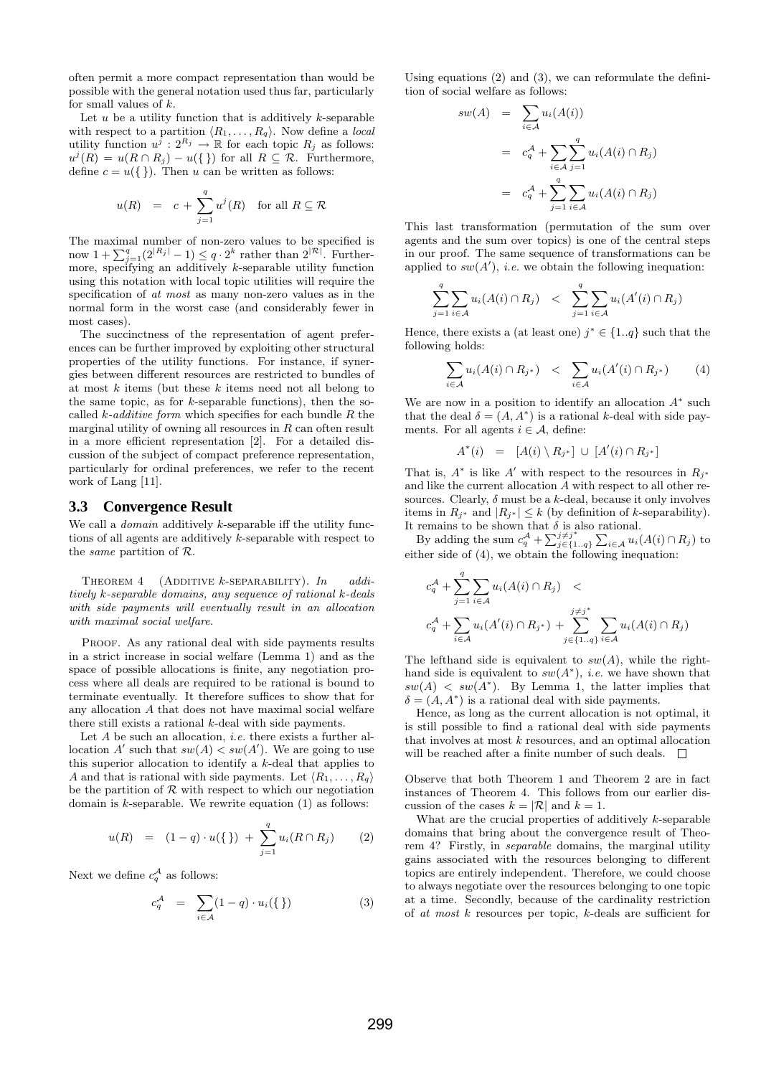often permit a more compact representation than would be possible with the general notation used thus far, particularly for small values of k.

Let  $u$  be a utility function that is additively  $k$ -separable with respect to a partition  $\langle R_1, \ldots, R_q \rangle$ . Now define a *local* utility function  $u^{\hat{j}}: 2^{R_j} \to \mathbb{R}$  for each topic  $R_j$  as follows:  $u^{j}(R) = u(R \cap R_{j}) - u(\{\})$  for all  $R \subseteq \mathcal{R}$ . Furthermore, define  $c = u({})$ . Then u can be written as follows:

$$
u(R) = c + \sum_{j=1}^{q} u^{j}(R) \text{ for all } R \subseteq \mathcal{R}
$$

The maximal number of non-zero values to be specified is now  $1 + \sum_{j=1}^q (2^{|R_j|} - 1) \leq q \cdot 2^k$  rather than  $2^{|R|}$ . Furthermore, specifying an additively  $k$ -separable utility function using this notation with local topic utilities will require the specification of *at most* as many non-zero values as in the normal form in the worst case (and considerably fewer in most cases).

The succinctness of the representation of agent preferences can be further improved by exploiting other structural properties of the utility functions. For instance, if synergies between different resources are restricted to bundles of at most  $k$  items (but these  $k$  items need not all belong to the same topic, as for k-separable functions), then the socalled  $k$ -*additive form* which specifies for each bundle  $R$  the marginal utility of owning all resources in  $R$  can often result in a more efficient representation [2]. For a detailed discussion of the subject of compact preference representation, particularly for ordinal preferences, we refer to the recent work of Lang [11].

#### **3.3 Convergence Result**

We call a *domain* additively  $k$ -separable iff the utility functions of all agents are additively k-separable with respect to the same partition of R.

THEOREM 4 (ADDITIVE  $k$ -SEPARABILITY). In additively k-separable domains, any sequence of rational k-deals with side payments will eventually result in an allocation with maximal social welfare.

PROOF. As any rational deal with side payments results in a strict increase in social welfare (Lemma 1) and as the space of possible allocations is finite, any negotiation process where all deals are required to be rational is bound to terminate eventually. It therefore suffices to show that for any allocation A that does not have maximal social welfare there still exists a rational k-deal with side payments.

Let  $A$  be such an allocation, *i.e.* there exists a further allocation A' such that  $sw(A) < sw(A')$ . We are going to use this superior allocation to identify a k-deal that applies to A and that is rational with side payments. Let  $\langle R_1, \ldots, R_q \rangle$ be the partition of  $R$  with respect to which our negotiation domain is  $k$ -separable. We rewrite equation  $(1)$  as follows:

$$
u(R) = (1-q) \cdot u(\{\}) + \sum_{j=1}^{q} u_i(R \cap R_j) \qquad (2)
$$

Next we define  $c_q^{\mathcal{A}}$  as follows:

$$
c_q^{\mathcal{A}} = \sum_{i \in \mathcal{A}} (1 - q) \cdot u_i(\{\}) \tag{3}
$$

Using equations (2) and (3), we can reformulate the definition of social welfare as follows:

$$
sw(A) = \sum_{i \in \mathcal{A}} u_i(A(i))
$$
  
=  $c_q^A + \sum_{i \in \mathcal{A}} \sum_{j=1}^q u_i(A(i) \cap R_j)$   
=  $c_q^A + \sum_{j=1}^q \sum_{i \in \mathcal{A}} u_i(A(i) \cap R_j)$ 

This last transformation (permutation of the sum over agents and the sum over topics) is one of the central steps in our proof. The same sequence of transformations can be applied to  $sw(A')$ , *i.e.* we obtain the following inequation:

$$
\sum_{j=1}^{q} \sum_{i \in \mathcal{A}} u_i(A(i) \cap R_j) \leq \sum_{j=1}^{q} \sum_{i \in \mathcal{A}} u_i(A'(i) \cap R_j)
$$

Hence, there exists a (at least one)  $j^* \in \{1..q\}$  such that the following holds:

$$
\sum_{i\in\mathcal{A}} u_i(A(i)\cap R_{j^*}) < \sum_{i\in\mathcal{A}} u_i(A'(i)\cap R_{j^*}) \tag{4}
$$

We are now in a position to identify an allocation  $A^*$  such that the deal  $\delta = (A, A^*)$  is a rational k-deal with side payments. For all agents  $i \in \mathcal{A}$ , define:

 $A^*(i) = [A(i) \setminus R_{j^*}] \cup [A'(i) \cap R_{j^*}]$ 

That is,  $A^*$  is like  $A'$  with respect to the resources in  $R_{j^*}$ and like the current allocation A with respect to all other resources. Clearly,  $\delta$  must be a k-deal, because it only involves items in  $R_{j^*}$  and  $|R_{j^*}| \leq k$  (by definition of k-separability). It remains to be shown that  $\delta$  is also rational.

By adding the sum  $c_q^A + \sum_{i=1}^{j \neq j^*}$  $\sum_{j\in\{1..q\}}\sum_{i\in\mathcal{A}}u_i(A(i)\cap R_j)$  to either side of  $(4)$ , we obtain the following inequation:

$$
c_q^{\mathcal{A}} + \sum_{j=1}^q \sum_{i \in \mathcal{A}} u_i(A(i) \cap R_j) c_q^{\mathcal{A}} + \sum_{i \in \mathcal{A}} u_i(A'(i) \cap R_{j^*}) + \sum_{j \in \{1..q\}}^{j \neq j^*} \sum_{i \in \mathcal{A}} u_i(A(i) \cap R_j)
$$

The lefthand side is equivalent to  $sw(A)$ , while the righthand side is equivalent to  $sw(A^*)$ , *i.e.* we have shown that  $sw(A)$  <  $sw(A^*)$ . By Lemma 1, the latter implies that  $\delta = (A, A^*)$  is a rational deal with side payments.

Hence, as long as the current allocation is not optimal, it is still possible to find a rational deal with side payments that involves at most  $k$  resources, and an optimal allocation will be reached after a finite number of such deals.  $\Box$ 

Observe that both Theorem 1 and Theorem 2 are in fact instances of Theorem 4. This follows from our earlier discussion of the cases  $k = |\mathcal{R}|$  and  $k = 1$ .

What are the crucial properties of additively  $k$ -separable domains that bring about the convergence result of Theorem 4? Firstly, in separable domains, the marginal utility gains associated with the resources belonging to different topics are entirely independent. Therefore, we could choose to always negotiate over the resources belonging to one topic at a time. Secondly, because of the cardinality restriction of at most k resources per topic, k-deals are sufficient for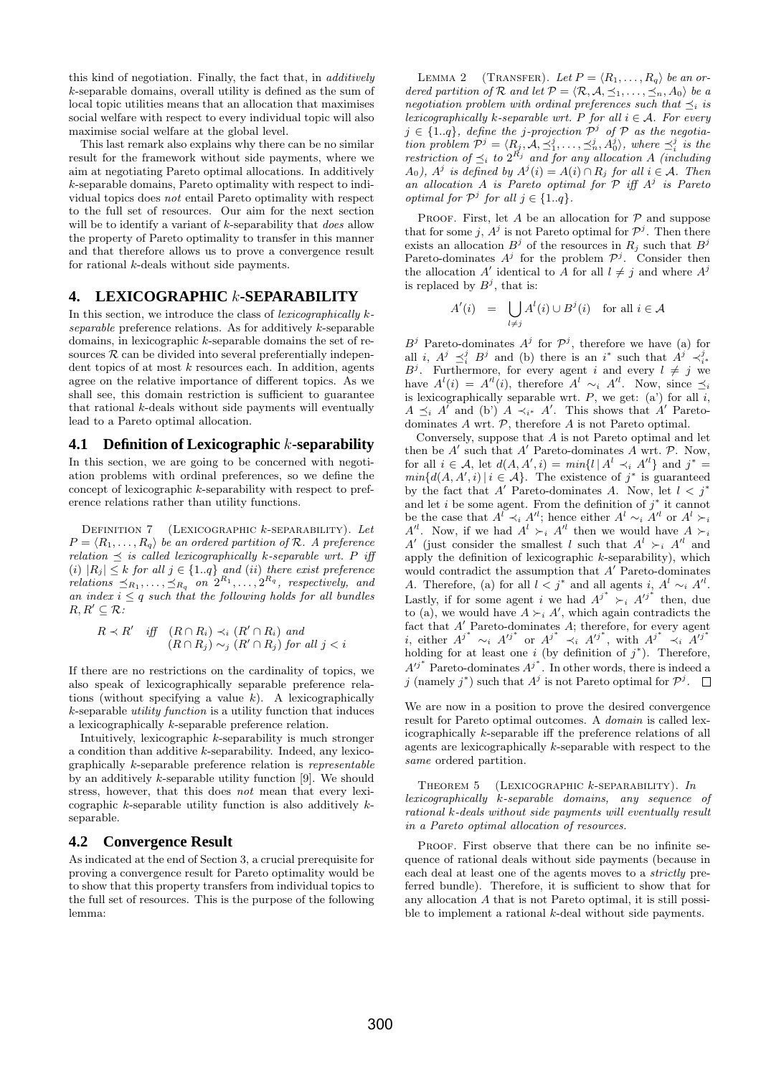this kind of negotiation. Finally, the fact that, in additively k-separable domains, overall utility is defined as the sum of local topic utilities means that an allocation that maximises social welfare with respect to every individual topic will also maximise social welfare at the global level.

This last remark also explains why there can be no similar result for the framework without side payments, where we aim at negotiating Pareto optimal allocations. In additively k-separable domains, Pareto optimality with respect to individual topics does not entail Pareto optimality with respect to the full set of resources. Our aim for the next section will be to identify a variant of k-separability that *does* allow the property of Pareto optimality to transfer in this manner and that therefore allows us to prove a convergence result for rational  $k$ -deals without side payments.

# **4. LEXICOGRAPHIC** k**-SEPARABILITY**

In this section, we introduce the class of *lexicographically*  $k$ separable preference relations. As for additively k-separable domains, in lexicographic k-separable domains the set of resources  $R$  can be divided into several preferentially independent topics of at most  $k$  resources each. In addition, agents agree on the relative importance of different topics. As we shall see, this domain restriction is sufficient to guarantee that rational  $k$ -deals without side payments will eventually lead to a Pareto optimal allocation.

# **4.1 Definition of Lexicographic** k**-separability**

In this section, we are going to be concerned with negotiation problems with ordinal preferences, so we define the concept of lexicographic k-separability with respect to preference relations rather than utility functions.

DEFINITION 7 (LEXICOGRAPHIC k-SEPARABILITY). Let  $P = \langle R_1, \ldots, R_q \rangle$  be an ordered partition of R. A preference relation  $\prec$  is called lexicographically k-separable wrt. P iff (i)  $|R_j| \leq k$  for all  $j \in \{1..q\}$  and (ii) there exist preference relations  $\preceq_{R_1}, \ldots, \preceq_{R_q}$  on  $2^{R_1}, \ldots, 2^{R_q}$ , respectively, and an index  $i \leq q$  such that the following holds for all bundles  $R, R' \subseteq \mathcal{R}$ :

$$
R \prec R' \quad \text{iff} \quad (R \cap R_i) \prec_i (R' \cap R_i) \text{ and}
$$
  

$$
(R \cap R_j) \sim_j (R' \cap R_j) \text{ for all } j < i
$$

If there are no restrictions on the cardinality of topics, we also speak of lexicographically separable preference relations (without specifying a value  $k$ ). A lexicographically  $k$ -separable *utility function* is a utility function that induces a lexicographically k-separable preference relation.

Intuitively, lexicographic k-separability is much stronger a condition than additive k-separability. Indeed, any lexicographically k-separable preference relation is representable by an additively k-separable utility function [9]. We should stress, however, that this does not mean that every lexicographic  $k$ -separable utility function is also additively  $k$ separable.

# **4.2 Convergence Result**

As indicated at the end of Section 3, a crucial prerequisite for proving a convergence result for Pareto optimality would be to show that this property transfers from individual topics to the full set of resources. This is the purpose of the following lemma:

LEMMA 2 (TRANSFER). Let  $P = \langle R_1, \ldots, R_q \rangle$  be an ordered partition of  $\mathcal R$  and let  $\mathcal P = \langle \mathcal R, \mathcal A, \preceq_1, \ldots, \preceq_n, A_0 \rangle$  be a negotiation problem with ordinal preferences such that  $\preceq_i$  is lexicographically k-separable wrt. P for all  $i \in A$ . For every  $j \in \{1..q\}$ , define the j-projection  $\mathcal{P}^j$  of  $\mathcal P$  as the negotiation problem  $\mathcal{P}^j = \langle R_j, \mathcal{A}, \preceq_1^j, \ldots, \preceq_n^j, A_0^j \rangle$ , where  $\preceq_i^j$  is the restriction of  $\preceq_i$  to  $2^{R_j}$  and for any allocation A (including  $A_0$ ),  $A^j$  is defined by  $A^j(i) = A(i) \cap R_j$  for all  $i \in \mathcal{A}$ . Then an allocation A is Pareto optimal for  $P$  iff  $A^j$  is Pareto *optimal for*  $\mathcal{P}^j$  *for all*  $j \in \{1..q\}$ *.* 

PROOF. First, let A be an allocation for  $P$  and suppose that for some j,  $A^j$  is not Pareto optimal for  $\mathcal{P}^j$ . Then there exists an allocation  $B^j$  of the resources in  $R_j$  such that  $B^j$ Pareto-dominates  $A^j$  for the problem  $\mathcal{P}^j$ . Consider then the allocation A' identical to A for all  $l \neq j$  and where  $A<sup>j</sup>$ is replaced by  $B^j$ , that is:

$$
A'(i) = \bigcup_{l \neq j} A^l(i) \cup B^j(i) \text{ for all } i \in \mathcal{A}
$$

 $B^j$  Pareto-dominates  $A^j$  for  $\mathcal{P}^j$ , therefore we have (a) for all i,  $A^j \preceq_i^j B^j$  and (b) there is an i<sup>\*</sup> such that  $A^{j'} \preceq_i^j A$  $B^j$ . Furthermore, for every agent i and every  $l \neq j$  we have  $A^{l}(i) = A^{l}(i)$ , therefore  $A^{l} \sim_{i} A^{l}$ . Now, since  $\preceq_{i}$ is lexicographically separable wrt.  $P$ , we get: (a') for all  $i$ ,  $A \preceq_i A'$  and (b')  $A \prec_{i^*} A'$ . This shows that A' Paretodominates  $A$  wrt.  $P$ , therefore  $A$  is not Pareto optimal.

Conversely, suppose that A is not Pareto optimal and let then be  $A'$  such that  $A'$  Pareto-dominates  $A$  wrt.  $P$ . Now, for all  $i \in \mathcal{A}$ , let  $d(A, A', i) = min\{l | A^l \prec_i A'^l\}$  and  $j^* =$  $min{d(A, A', i) | i \in \mathcal{A}}$ . The existence of j<sup>\*</sup> is guaranteed by the fact that A' Pareto-dominates A. Now, let  $l < j^*$ and let i be some agent. From the definition of  $j^*$  it cannot be the case that  $A^l \prec_i A'^l$ ; hence either  $A^l \sim_i A'^l$  or  $A^l \succ_i$  $A^{l}$ . Now, if we had  $A^{l} \succ_{i} A^{l}$  then we would have  $A \succ_{i}$ A' (just consider the smallest l such that  $A^l \succ_i A'^l$  and apply the definition of lexicographic  $k$ -separability), which would contradict the assumption that  $A'$  Pareto-dominates A. Therefore, (a) for all  $l < j^*$  and all agents i,  $A^l \sim_i A'^l$ . Lastly, if for some agent i we had  $A^{j^*} \succ_i A'^{j^*}$  then, due to (a), we would have  $A \succ_i A'$ , which again contradicts the fact that  $A'$  Pareto-dominates  $A$ ; therefore, for every agent i, either  $A^{j^*} \sim_i A'^{j^*}$  or  $A^{j^*} \prec_i A'^{j^*}$ , with  $A^{j^*} \prec_i A'^{j^*}$ holding for at least one i (by definition of  $j^*$ ). Therefore,  $A'^{j^*}$  Pareto-dominates  $A^{j^*}$ . In other words, there is indeed a j (namely  $j^*$ ) such that  $A^j$  is not Pareto optimal for  $\mathcal{P}^j$ .

We are now in a position to prove the desired convergence result for Pareto optimal outcomes. A domain is called lexicographically k-separable iff the preference relations of all agents are lexicographically k-separable with respect to the same ordered partition.

THEOREM 5 (LEXICOGRAPHIC  $k$ -SEPARABILITY). In lexicographically k-separable domains, any sequence of rational k-deals without side payments will eventually result in a Pareto optimal allocation of resources.

PROOF. First observe that there can be no infinite sequence of rational deals without side payments (because in each deal at least one of the agents moves to a strictly preferred bundle). Therefore, it is sufficient to show that for any allocation A that is not Pareto optimal, it is still possible to implement a rational k-deal without side payments.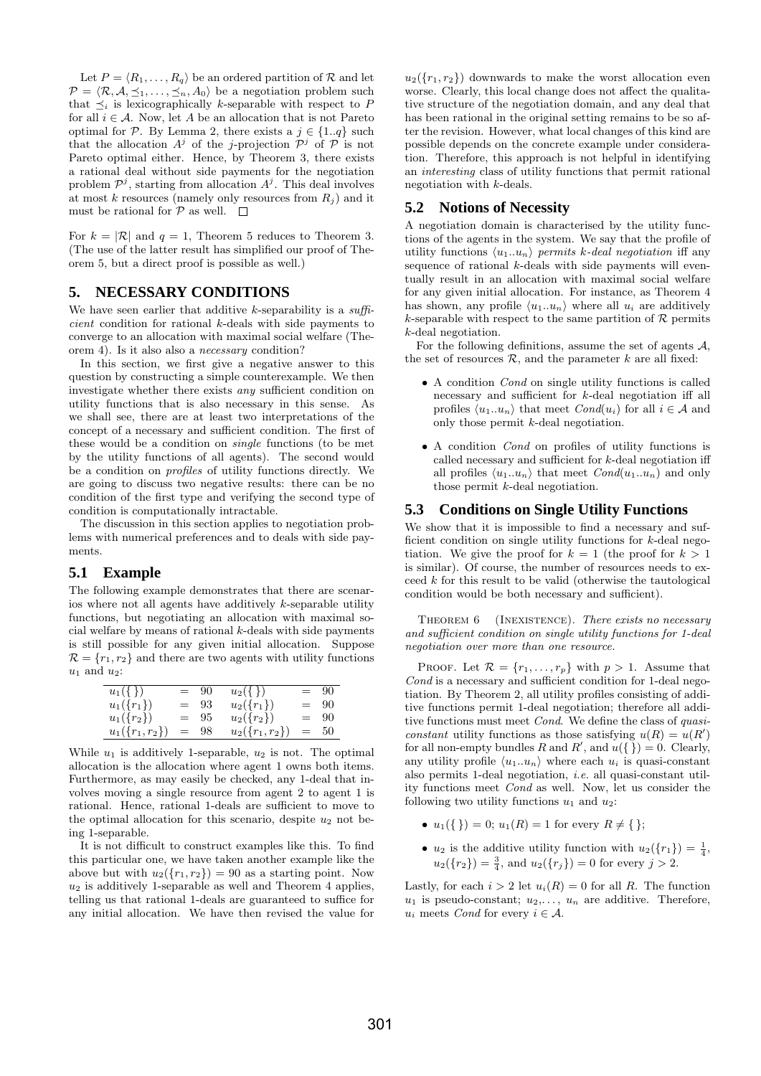Let  $P = \langle R_1, \ldots, R_q \rangle$  be an ordered partition of R and let  $\mathcal{P} = \langle \mathcal{R}, \mathcal{A}, \preceq_1, \ldots, \preceq_n, A_0 \rangle$  be a negotiation problem such that  $\preceq_i$  is lexicographically k-separable with respect to P for all  $i \in \mathcal{A}$ . Now, let A be an allocation that is not Pareto optimal for P. By Lemma 2, there exists a  $j \in \{1..q\}$  such that the allocation  $A^j$  of the *j*-projection  $\mathcal{P}^j$  of  $\mathcal P$  is not Pareto optimal either. Hence, by Theorem 3, there exists a rational deal without side payments for the negotiation problem  $\mathcal{P}^j$ , starting from allocation  $A^j$ . This deal involves at most k resources (namely only resources from  $R_i$ ) and it must be rational for  $P$  as well.  $\Box$ 

For  $k = |\mathcal{R}|$  and  $q = 1$ , Theorem 5 reduces to Theorem 3. (The use of the latter result has simplified our proof of Theorem 5, but a direct proof is possible as well.)

# **5. NECESSARY CONDITIONS**

We have seen earlier that additive  $k$ -separability is a sufficient condition for rational k-deals with side payments to converge to an allocation with maximal social welfare (Theorem 4). Is it also also a necessary condition?

In this section, we first give a negative answer to this question by constructing a simple counterexample. We then investigate whether there exists any sufficient condition on utility functions that is also necessary in this sense. As we shall see, there are at least two interpretations of the concept of a necessary and sufficient condition. The first of these would be a condition on single functions (to be met by the utility functions of all agents). The second would be a condition on profiles of utility functions directly. We are going to discuss two negative results: there can be no condition of the first type and verifying the second type of condition is computationally intractable.

The discussion in this section applies to negotiation problems with numerical preferences and to deals with side payments.

# **5.1 Example**

The following example demonstrates that there are scenarios where not all agents have additively k-separable utility functions, but negotiating an allocation with maximal social welfare by means of rational k-deals with side payments is still possible for any given initial allocation. Suppose  $\mathcal{R} = \{r_1, r_2\}$  and there are two agents with utility functions  $u_1$  and  $u_2$ :

| $u_1(\{\})$      | $= 90$ | $u_2(\{\})$                    | $= 90$ |
|------------------|--------|--------------------------------|--------|
| $u_1({r_1})$     | $=$ 93 | $u_2({r_1})$                   | $= 90$ |
| $u_1({r_2})$     | $=$ 95 | $u_2({r_2})$                   | $= 90$ |
| $u_1({r_1,r_2})$ | $=$ 98 | $u_2(\lbrace r_1,r_2 \rbrace)$ | $= 50$ |

While  $u_1$  is additively 1-separable,  $u_2$  is not. The optimal allocation is the allocation where agent 1 owns both items. Furthermore, as may easily be checked, any 1-deal that involves moving a single resource from agent 2 to agent 1 is rational. Hence, rational 1-deals are sufficient to move to the optimal allocation for this scenario, despite  $u_2$  not being 1-separable.

It is not difficult to construct examples like this. To find this particular one, we have taken another example like the above but with  $u_2({r_1, r_2}) = 90$  as a starting point. Now  $u_2$  is additively 1-separable as well and Theorem 4 applies, telling us that rational 1-deals are guaranteed to suffice for any initial allocation. We have then revised the value for

 $u_2({r_1, r_2})$  downwards to make the worst allocation even worse. Clearly, this local change does not affect the qualitative structure of the negotiation domain, and any deal that has been rational in the original setting remains to be so after the revision. However, what local changes of this kind are possible depends on the concrete example under consideration. Therefore, this approach is not helpful in identifying an interesting class of utility functions that permit rational negotiation with k-deals.

## **5.2 Notions of Necessity**

A negotiation domain is characterised by the utility functions of the agents in the system. We say that the profile of utility functions  $\langle u_1..u_n \rangle$  permits k-deal negotiation iff any sequence of rational k-deals with side payments will eventually result in an allocation with maximal social welfare for any given initial allocation. For instance, as Theorem 4 has shown, any profile  $\langle u_1..u_n \rangle$  where all  $u_i$  are additively k-separable with respect to the same partition of  $\mathcal R$  permits k-deal negotiation.

For the following definitions, assume the set of agents  $A$ , the set of resources  $R$ , and the parameter k are all fixed:

- A condition Cond on single utility functions is called necessary and sufficient for k-deal negotiation iff all profiles  $\langle u_1..u_n \rangle$  that meet  $Cond(u_i)$  for all  $i \in \mathcal{A}$  and only those permit k-deal negotiation.
- A condition Cond on profiles of utility functions is called necessary and sufficient for  $k$ -deal negotiation iff all profiles  $\langle u_1..u_n \rangle$  that meet  $Cond(u_1..u_n)$  and only those permit k-deal negotiation.

# **5.3 Conditions on Single Utility Functions**

We show that it is impossible to find a necessary and sufficient condition on single utility functions for k-deal negotiation. We give the proof for  $k = 1$  (the proof for  $k > 1$ ) is similar). Of course, the number of resources needs to exceed  $k$  for this result to be valid (otherwise the tautological condition would be both necessary and sufficient).

THEOREM 6 (INEXISTENCE). There exists no necessary and sufficient condition on single utility functions for 1-deal negotiation over more than one resource.

PROOF. Let  $\mathcal{R} = \{r_1, \ldots, r_p\}$  with  $p > 1$ . Assume that Cond is a necessary and sufficient condition for 1-deal negotiation. By Theorem 2, all utility profiles consisting of additive functions permit 1-deal negotiation; therefore all additive functions must meet Cond. We define the class of quasiconstant utility functions as those satisfying  $u(R) = u(R')$ for all non-empty bundles R and  $R'$ , and  $u({}) = 0$ . Clearly, any utility profile  $\langle u_1..u_n \rangle$  where each  $u_i$  is quasi-constant also permits 1-deal negotiation, i.e. all quasi-constant utility functions meet Cond as well. Now, let us consider the following two utility functions  $u_1$  and  $u_2$ :

- $u_1({\{\}) = 0; u_1(R) = 1$  for every  $R \neq {\{\}};$
- $u_2$  is the additive utility function with  $u_2({r_1}) = \frac{1}{4}$ ,  $u_2({r_2}) = \frac{3}{4}$ , and  $u_2({r_j}) = 0$  for every  $j > 2$ .

Lastly, for each  $i > 2$  let  $u_i(R) = 0$  for all R. The function  $u_1$  is pseudo-constant;  $u_2, \ldots, u_n$  are additive. Therefore,  $u_i$  meets *Cond* for every  $i \in \mathcal{A}$ .